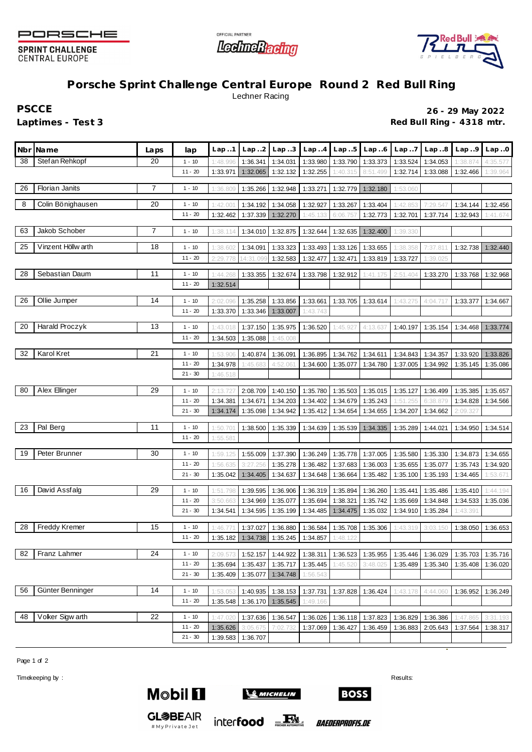

**SPRINT CHALLENGE CENTRAL EUROPE** 





## **Porsche Sprint Challenge Central Europe Round 2 Red Bull Ring** Lechner Racing

**PSCCE 26 - 29 May 2022** Laptimes - Test 3 **Red Bull Ring - 4318 mtr.** 

|    | Nbr Name           | Laps | lap                   | Lap.1               | Lap.2                | Lap.3                | Lap.4                                        | Lap.5                | Lap.6                | Lap.7                | Lap.8                | Lap.9                | Lap.0    |
|----|--------------------|------|-----------------------|---------------------|----------------------|----------------------|----------------------------------------------|----------------------|----------------------|----------------------|----------------------|----------------------|----------|
| 38 | Stef an Rehkopf    | 20   | $1 - 10$              | 1:48.99             | 1:36.341             | 1:34.031             | 1:33.980                                     | 1:33.790             | 1:33.373             | 1:33.524             | 1:34.053             | 1:38.874             | 4:35.577 |
|    |                    |      | $11 - 20$             | 1:33.971            | 1:32.065             | 1:32.132             | 1:32.255                                     | 1:40.315             | 8:51.499             | 1:32.714             | 1:33.088             | 1:32.466             | 1:39.964 |
| 26 | Florian Janits     | 7    | $1 - 10$              | 1:36.809            | 1:35.266             | 1:32.948             | 1:33.271                                     | 1:32.779             | 1:32.180             | 1:53.060             |                      |                      |          |
| 8  | Colin Bönighausen  | 20   | $1 - 10$              | 1:42.00             | 1:34.192             | 1:34.058             | 1:32.927                                     | 1:33.267             | 1:33.404             | 1:42.853             | 7:29.547             |                      | 1:32.456 |
|    |                    |      | $11 - 20$             | 1:32.462            | 1:37.339             | 1:32.270             | 1:45.133                                     | 6:06.75              | 1:32.773             | 1:32.701             | 1:37.714             | 1:34.144<br>1:32.943 | 1:41.674 |
|    |                    |      |                       |                     |                      |                      |                                              |                      |                      |                      |                      |                      |          |
| 63 | Jakob Schober      | 7    | $1 - 10$              | 1:38.114            | 1:34.010             | 1:32.875             | 1:32.644                                     | 1:32.635             | 1:32.400             | 1:39.330             |                      |                      |          |
| 25 | Vinzent Höllw arth | 18   | $1 - 10$              | 1:38.602            | 1:34.091             | 1:33.323             | 1:33.493                                     | 1:33.126             | 1:33.655             | 1:38.358             | 7:37.811             | 1:32.738             | 1:32.440 |
|    |                    |      | $11 - 20$             | 2:29.778            | 14:31.099            | 1:32.583             | 1:32.477                                     | 1:32.471             | 1:33.819             | 1:33.727             | 1:39.025             |                      |          |
| 28 | Sebastian Daum     | 11   | $1 - 10$              | 1:44.268            | 1:33.355             | 1:32.674             | 1:33.798                                     | 1:32.912             | 1:41.175             | 2:51.404             | 1:33.270             | 1:33.768             | 1:32.968 |
|    |                    |      | $11 - 20$             | 1:32.514            |                      |                      |                                              |                      |                      |                      |                      |                      |          |
| 26 | Ollie Jumper       | 14   | $1 - 10$              | 2:02.090            | 1:35.258             | 1:33.856             | 1:33.661                                     | 1:33.705             | 1:33.614             | 1:43.275             | 4:04.717             | 1:33.377             | 1:34.667 |
|    |                    |      | $11 - 20$             | 1:33.370            | 1:33.346             | 1:33.007             | 1:43.743                                     |                      |                      |                      |                      |                      |          |
|    |                    | 13   |                       |                     |                      |                      |                                              |                      |                      |                      |                      |                      |          |
| 20 | Harald Proczyk     |      | $1 - 10$              | 1:43.018            | 1:37.150             | 1:35.975             | 1:36.520                                     | 1:45.927             | 4:13.637             | 1:40.197             | 1:35.154             | 1:34.468             | 1:33.774 |
|    |                    |      | $11 - 20$             | 1:34.503            | 1:35.088             | 1:45.008             |                                              |                      |                      |                      |                      |                      |          |
| 32 | Karol Kret         | 21   | $1 - 10$              | 1:53.90             | 1:40.874             | 1:36.091             | 1:36.895                                     | 1:34.762             | 1:34.611             | 1:34.843             | 1:34.357             | 1:33.920             | 1:33.826 |
|    |                    |      | $11 - 20$             | 1:34.978            | 1:45.683             | 4:52.06              | 1:34.600                                     | 1:35.077             | 1:34.780             | 1:37.005             | 1:34.992             | 1:35.145             | 1:35.086 |
|    |                    |      | $21 - 30$             | 1:46.518            |                      |                      |                                              |                      |                      |                      |                      |                      |          |
| 80 | Alex Ellinger      | 29   | $1 - 10$              | 2:13.72             | 2:08.709             | 1:40.150             | 1:35.780                                     | 1:35.503             | 1:35.015             | 1:35.127             | 1:36.499             | 1:35.385             | 1:35.657 |
|    |                    |      | $11 - 20$             | 1:34.381            | 1:34.671             | 1:34.203             | 1:34.402                                     | 1:34.679             | 1:35.243             | 1:51.255             | 6:38.879             | 1:34.828             | 1:34.566 |
|    |                    |      | $21 - 30$             | 1:34.174            | 1:35.098             | 1:34.942             | 1:35.412                                     | 1:34.654             | 1:34.655             | 1:34.207             | 1:34.662             | 2:09.327             |          |
| 23 | Pal Berg           | 11   | $1 - 10$              | 1:50.70             | 1:38.500             | 1:35.339             | 1:34.639                                     | 1:35.539             | 1:34.335             | 1:35.289             | 1:44.021             | 1:34.950             | 1:34.514 |
|    |                    |      | $11 - 20$             | 1:55.581            |                      |                      |                                              |                      |                      |                      |                      |                      |          |
| 19 | Peter Brunner      | 30   | $1 - 10$              | 1:59.125            | 1:55.009             | 1:37.390             | 1:36.249                                     | 1:35.778             | 1:37.005             | 1:35.580             | 1:35.330             | 1:34.873             | 1:34.655 |
|    |                    |      | $11 - 20$             | 1:56.635            | 3:27.256             | 1:35.278             | 1:36.482                                     | 1:37.683             | 1:36.003             | 1:35.655             | 1:35.077             | 1:35.743             | 1:34.920 |
|    |                    |      | $21 - 30$             | 1:35.042            | 1:34.405             | 1:34.637             | 1:34.648                                     | 1:36.664             | 1:35.482             | 1:35.100             | 1:35.193             | 1:34.465             | 1:53.671 |
|    |                    |      |                       |                     |                      |                      |                                              |                      |                      |                      |                      |                      |          |
| 16 | David Assfalg      | 29   | $1 - 10$<br>$11 - 20$ | 1:51.798<br>3:50.66 | 1:39.595<br>1:34.969 | 1:36.906<br>1:35.077 | 1:36.319<br>1:35.694                         | 1:35.894<br>1:38.321 | 1:36.260<br>1:35.742 | 1:35.441<br>1:35.669 | 1:35.486<br>1:34.848 | 1:35.410<br>1:34.533 | 1:44.194 |
|    |                    |      | $21 - 30$             | 1:34.541            | 1:34.595             | 1:35.199             | 1:34.485                                     | 1:34.475             | 1:35.032             | 1:34.910             | 1:35.284             | 1:43.391             | 1:35.036 |
|    |                    |      |                       |                     |                      |                      |                                              |                      |                      |                      |                      |                      |          |
| 28 | Freddy Kremer      | 15   | $1 - 10$              | 1:46.77             | 1:37.027             | 1:36.880             | 1:36.584                                     | 1:35.708             | 1:35.306             | 1:43.319             | 3:03.150             | 1:38.050             | 1:36.653 |
|    |                    |      | $11 - 20$             |                     |                      |                      | 1:35.182 1:34.738 1:35.245 1:34.857 1:48.122 |                      |                      |                      |                      |                      |          |
| 82 | Franz Lahmer       | 24   | $1 - 10$              | 2:09.573            | 1:52.157             | 1:44.922             | 1:38.311                                     | 1:36.523             | 1:35.955             | 1:35.446             | 1:36.029             | 1:35.703             | 1:35.716 |
|    |                    |      | $11 - 20$             | 1:35.694            | 1:35.437             | 1:35.717             | 1:35.445                                     | 1:45.520             | 3:48.025             | 1:35.489             | 1:35.340             | 1:35.408             | 1:36.020 |
|    |                    |      | $21 - 30$             | 1:35.409            | 1:35.077             | 1:34.748             | 1:56.543                                     |                      |                      |                      |                      |                      |          |
| 56 | Günter Benninger   | 14   | $1 - 10$              | 1:53.05             | 1:40.935             | 1:38.153             | 1:37.731                                     | 1:37.828             | 1:36.424             | 1:43.178             | 4:44.060             | 1:36.952             | 1:36.249 |
|    |                    |      | $11 - 20$             | 1:35.548            | 1:36.170             | 1:35.545             | 1:49.166                                     |                      |                      |                      |                      |                      |          |
| 48 | Volker Sigw arth   | 22   | $1 - 10$              | 1:47.02             | 1:37.636             | 1:36.547             | 1:36.026                                     | 1:36.118             | 1:37.823             | 1:36.829             | 1:36.386             | 1:47.865             | 3:31.193 |
|    |                    |      | $11 - 20$             | 1:35.626            | 3:05.675             | 7:02.732             | 1:37.069                                     | 1:36.427             | 1:36.459             | 1:36.883             | 2:05.643             | 1:37.564             | 1:38.317 |
|    |                    |      | $21 - 30$             | 1:39.583            | 1:36.707             |                      |                                              |                      |                      |                      |                      |                      |          |

Page 1 of 2

Timekeeping by : Results:



**GL参BEAIR** 

#MyPrivateJet



inter**food**  $\frac{1}{\text{resat} + \text{resat} + \text{resat} + \text{resat}}$ 



**BOSS** 

*BAEDERPROFIS.DE*